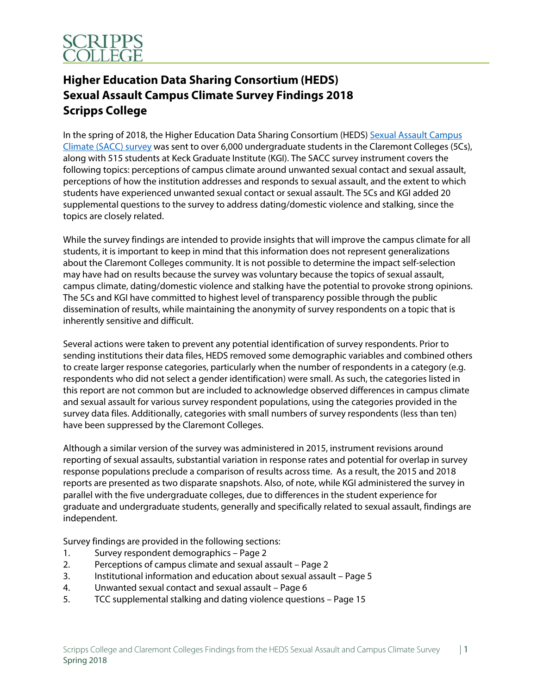

# **Higher Education Data Sharing Consortium (HEDS) Sexual Assault Campus Climate Survey Findings 2018 Scripps College**

In the spring of 2018, the Higher Education Data Sharing Consortium (HEDS) Sexual Assault Campus Climate (SACC) survey was sent to over 6,000 undergraduate students in the Claremont Colleges (5Cs), along with 515 students at Keck Graduate Institute (KGI). The SACC survey instrument covers the following topics: perceptions of campus climate around unwanted sexual contact and sexual assault, perceptions of how the institution addresses and responds to sexual assault, and the extent to which students have experienced unwanted sexual contact or sexual assault. The 5Cs and KGI added 20 supplemental questions to the survey to address dating/domestic violence and stalking, since the topics are closely related.

While the survey findings are intended to provide insights that will improve the campus climate for all students, it is important to keep in mind that this information does not represent generalizations about the Claremont Colleges community. It is not possible to determine the impact self-selection may have had on results because the survey was voluntary because the topics of sexual assault, campus climate, dating/domestic violence and stalking have the potential to provoke strong opinions. The 5Cs and KGI have committed to highest level of transparency possible through the public dissemination of results, while maintaining the anonymity of survey respondents on a topic that is inherently sensitive and difficult.

Several actions were taken to prevent any potential identification of survey respondents. Prior to sending institutions their data files, HEDS removed some demographic variables and combined others to create larger response categories, particularly when the number of respondents in a category (e.g. respondents who did not select a gender identification) were small. As such, the categories listed in this report are not common but are included to acknowledge observed differences in campus climate and sexual assault for various survey respondent populations, using the categories provided in the survey data files. Additionally, categories with small numbers of survey respondents (less than ten) have been suppressed by the Claremont Colleges.

Although a similar version of the survey was administered in 2015, instrument revisions around reporting of sexual assaults, substantial variation in response rates and potential for overlap in survey response populations preclude a comparison of results across time. As a result, the 2015 and 2018 reports are presented as two disparate snapshots. Also, of note, while KGI administered the survey in parallel with the five undergraduate colleges, due to differences in the student experience for graduate and undergraduate students, generally and specifically related to sexual assault, findings are independent.

Survey findings are provided in the following sections:

- 1. Survey respondent demographics Page 2
- 2. Perceptions of campus climate and sexual assault Page 2
- 3. Institutional information and education about sexual assault Page 5
- 4. Unwanted sexual contact and sexual assault Page 6
- 5. TCC supplemental stalking and dating violence questions Page 15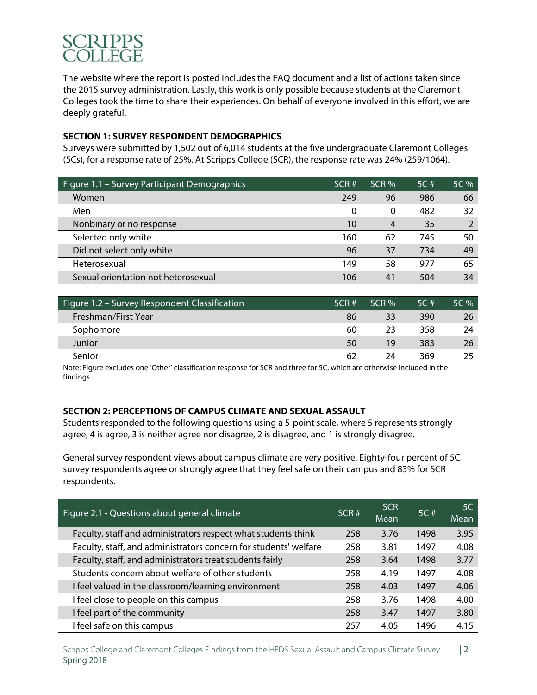

The website where the report is posted includes the FAQ document and a list of actions taken since the 2015 survey administration. Lastly, this work is only possible because students at the Claremont Colleges took the time to share their experiences. On behalf of everyone involved in this effort, we are deeply grateful.

### **SECTION 1: SURVEY RESPONDENT DEMOGRAPHICS**

Surveys were submitted by 1,502 out of 6,014 students at the five undergraduate Claremont Colleges (5Cs), for a response rate of 25%. At Scripps College (SCR), the response rate was 24% (259/1064).

| Figure 1.1 - Survey Participant Demographics | SCR#     | $SCR$ % | 5C # | 5C % |
|----------------------------------------------|----------|---------|------|------|
| Women                                        | 249      | 96      | 986  | 66   |
| Men                                          | $\Omega$ | 0       | 482  | 32   |
| Nonbinary or no response                     | 10       | 4       | 35   |      |
| Selected only white                          | 160      | 62      | 745  | 50   |
| Did not select only white                    | 96       | 37      | 734  | 49   |
| Heterosexual                                 | 149      | 58      | 977  | 65   |
| Sexual orientation not heterosexual          | 106      | 41      | 504  | 34   |

| Figure 1.2 - Survey Respondent Classification | SCR# | $SCR$ % | 5C # | $5C\%$ |
|-----------------------------------------------|------|---------|------|--------|
| Freshman/First Year                           | 86   | 33      | 390  | 26     |
| Sophomore                                     | 60   | 23      | 358  | 24     |
| Junior                                        | 50   | 19      | 383  | 26     |
| Senior                                        | 62   | 74      | 369  |        |

Note: Figure excludes one 'Other' classification response for SCR and three for 5C, which are otherwise included in the findings.

## **SECTION 2: PERCEPTIONS OF CAMPUS CLIMATE AND SEXUAL ASSAULT**

Students responded to the following questions using a 5-point scale, where 5 represents strongly agree, 4 is agree, 3 is neither agree nor disagree, 2 is disagree, and 1 is strongly disagree.

General survey respondent views about campus climate are very positive. Eighty-four percent of 5C survey respondents agree or strongly agree that they feel safe on their campus and 83% for SCR respondents.

| Figure 2.1 - Questions about general climate                     | SCR# | <b>SCR</b><br>Mean | 5C#  | 5C<br>Mean |
|------------------------------------------------------------------|------|--------------------|------|------------|
| Faculty, staff and administrators respect what students think    | 258  | 3.76               | 1498 | 3.95       |
| Faculty, staff, and administrators concern for students' welfare | 258  | 3.81               | 1497 | 4.08       |
| Faculty, staff, and administrators treat students fairly         | 258  | 3.64               | 1498 | 3.77       |
| Students concern about welfare of other students                 | 258  | 4.19               | 1497 | 4.08       |
| I feel valued in the classroom/learning environment              | 258  | 4.03               | 1497 | 4.06       |
| I feel close to people on this campus                            | 258  | 3.76               | 1498 | 4.00       |
| I feel part of the community                                     | 258  | 3.47               | 1497 | 3.80       |
| I feel safe on this campus                                       | 257  | 4.05               | 1496 | 4.15       |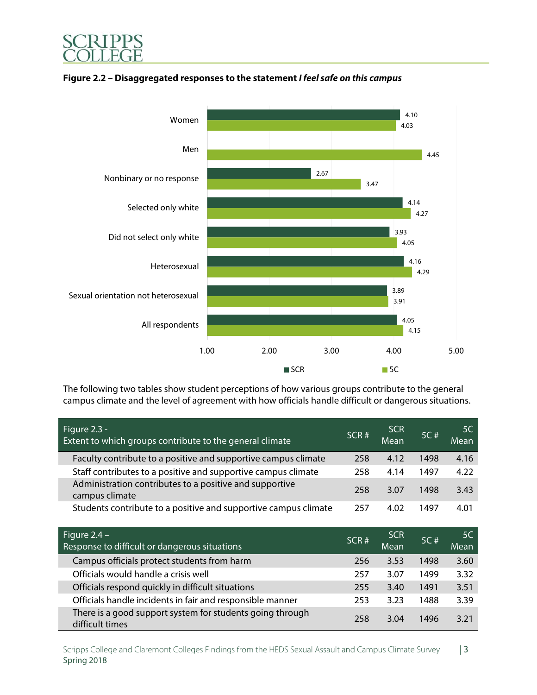

### **Figure 2.2 – Disaggregated responses to the statement I feel safe on this campus**

The following two tables show student perceptions of how various groups contribute to the general campus climate and the level of agreement with how officials handle difficult or dangerous situations.

| Figure $2.3 -$<br>Extent to which groups contribute to the general climate | SCR# | <b>SCR</b><br>Mean | 5C#  | .5C<br>Mean |
|----------------------------------------------------------------------------|------|--------------------|------|-------------|
| Faculty contribute to a positive and supportive campus climate             | 258  | 4.12               | 1498 | 4.16        |
| Staff contributes to a positive and supportive campus climate              | 258  | 4.14               | 1497 | 4.22        |
| Administration contributes to a positive and supportive<br>campus climate  | 258  | 3.07               | 1498 | 3.43        |
| Students contribute to a positive and supportive campus climate            | 257  | 4.02               | 1497 | 4.01        |
|                                                                            |      |                    |      |             |

| Figure $2.4 -$                                                               | SCR <sup>#</sup> | <b>SCR</b> | 5C#  | 5C   |
|------------------------------------------------------------------------------|------------------|------------|------|------|
| Response to difficult or dangerous situations                                |                  | Mean       |      | Mean |
| Campus officials protect students from harm                                  | 256              | 3.53       | 1498 | 3.60 |
| Officials would handle a crisis well                                         | 257              | 3.07       | 1499 | 3.32 |
| Officials respond quickly in difficult situations                            | 255              | 3.40       | 1491 | 3.51 |
| Officials handle incidents in fair and responsible manner                    | 253              | 3.23       | 1488 | 3.39 |
| There is a good support system for students going through<br>difficult times | 258              | 3.04       | 1496 | 3.21 |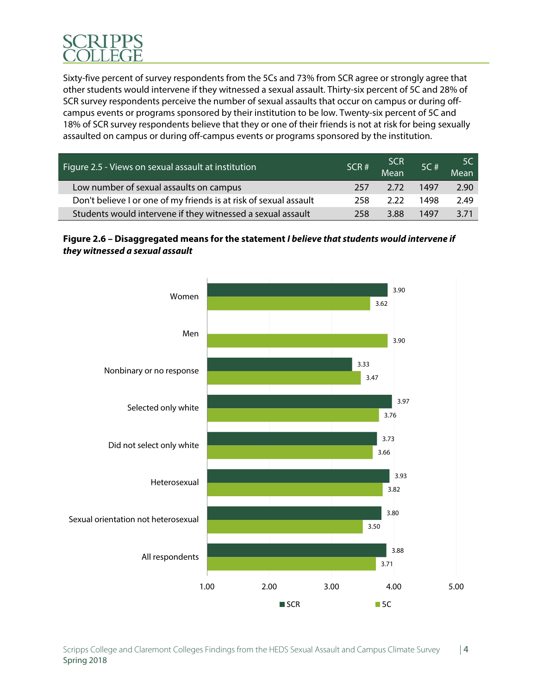Sixty-five percent of survey respondents from the 5Cs and 73% from SCR agree or strongly agree that other students would intervene if they witnessed a sexual assault. Thirty-six percent of 5C and 28% of SCR survey respondents perceive the number of sexual assaults that occur on campus or during offcampus events or programs sponsored by their institution to be low. Twenty-six percent of 5C and 18% of SCR survey respondents believe that they or one of their friends is not at risk for being sexually assaulted on campus or during off-campus events or programs sponsored by the institution.

| Figure 2.5 - Views on sexual assault at institution               | SCR <sup>#</sup> | SCR<br>Mean | 5C # | -5C<br>Mean |
|-------------------------------------------------------------------|------------------|-------------|------|-------------|
| Low number of sexual assaults on campus                           | 257              | 2.72        | 1497 | 2.90        |
| Don't believe I or one of my friends is at risk of sexual assault | 258              | 2.22        | 1498 | 2.49        |
| Students would intervene if they witnessed a sexual assault       | 258              | 3.88        | 1497 | 3.71        |

# **Figure 2.6 – Disaggregated means for the statement I believe that students would intervene if they witnessed a sexual assault**

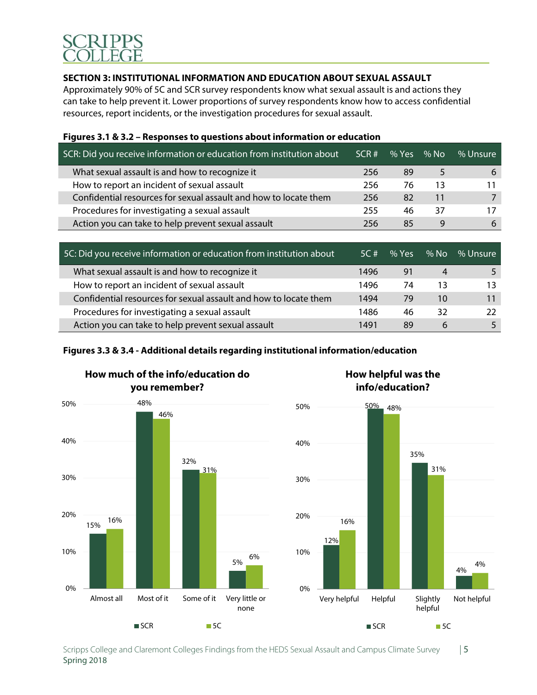## **SECTION 3: INSTITUTIONAL INFORMATION AND EDUCATION ABOUT SEXUAL ASSAULT**

Approximately 90% of 5C and SCR survey respondents know what sexual assault is and actions they can take to help prevent it. Lower proportions of survey respondents know how to access confidential resources, report incidents, or the investigation procedures for sexual assault.

| SCR: Did you receive information or education from institution about | SCR# | % Yes | % No | % Unsure |
|----------------------------------------------------------------------|------|-------|------|----------|
| What sexual assault is and how to recognize it                       | 256  | 89    |      | b        |
| How to report an incident of sexual assault                          | 256  | 76    | 13   |          |
| Confidential resources for sexual assault and how to locate them     | 256  | 82    | 11   |          |
| Procedures for investigating a sexual assault                        | 255  | 46    | 37   |          |
| Action you can take to help prevent sexual assault                   | 256  | 85    | 9    | 6        |
|                                                                      |      |       |      |          |

| Figures 3.1 & 3.2 – Responses to questions about information or education |  |
|---------------------------------------------------------------------------|--|
|---------------------------------------------------------------------------|--|

| 5C: Did you receive information or education from institution about | 5C # | % Yes | $%$ No | % Unsure |
|---------------------------------------------------------------------|------|-------|--------|----------|
| What sexual assault is and how to recognize it                      | 1496 | 91    | 4      |          |
| How to report an incident of sexual assault                         | 1496 | 74    | 13     | 13       |
| Confidential resources for sexual assault and how to locate them    | 1494 | 79    | 10     | 11       |
| Procedures for investigating a sexual assault                       | 1486 | 46    | 32     | 22       |
| Action you can take to help prevent sexual assault                  | 1491 | 89    | 6      |          |

# **Figures 3.3 & 3.4 - Additional details regarding institutional information/education**





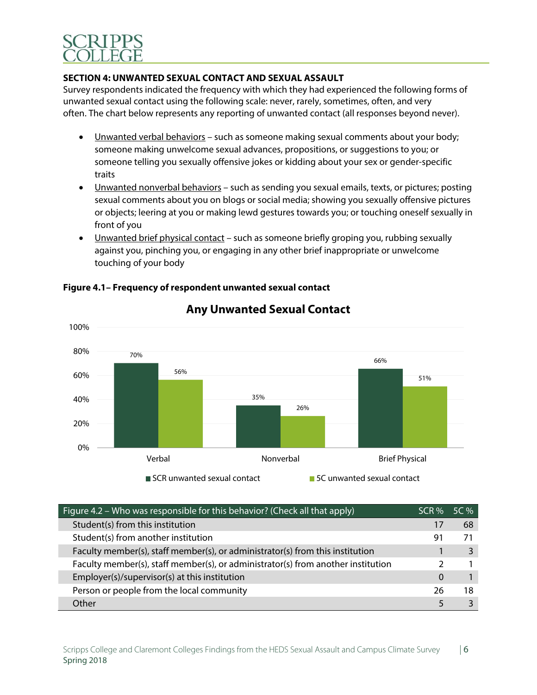

### **SECTION 4: UNWANTED SEXUAL CONTACT AND SEXUAL ASSAULT**

Survey respondents indicated the frequency with which they had experienced the following forms of unwanted sexual contact using the following scale: never, rarely, sometimes, often, and very often. The chart below represents any reporting of unwanted contact (all responses beyond never).

- Unwanted verbal behaviors such as someone making sexual comments about your body; someone making unwelcome sexual advances, propositions, or suggestions to you; or someone telling you sexually offensive jokes or kidding about your sex or gender-specific traits
- Unwanted nonverbal behaviors such as sending you sexual emails, texts, or pictures; posting sexual comments about you on blogs or social media; showing you sexually offensive pictures or objects; leering at you or making lewd gestures towards you; or touching oneself sexually in front of you
- Unwanted brief physical contact such as someone briefly groping you, rubbing sexually against you, pinching you, or engaging in any other brief inappropriate or unwelcome touching of your body



**Figure 4.1– Frequency of respondent unwanted sexual contact** 

| Figure 4.2 – Who was responsible for this behavior? (Check all that apply)       | SCR % | 5C % |
|----------------------------------------------------------------------------------|-------|------|
| Student(s) from this institution                                                 | 17    | 68   |
| Student(s) from another institution                                              | 91    |      |
| Faculty member(s), staff member(s), or administrator(s) from this institution    |       |      |
| Faculty member(s), staff member(s), or administrator(s) from another institution |       |      |
| Employer(s)/supervisor(s) at this institution                                    | 0     |      |
| Person or people from the local community                                        | 26    | 18   |
| Other                                                                            |       |      |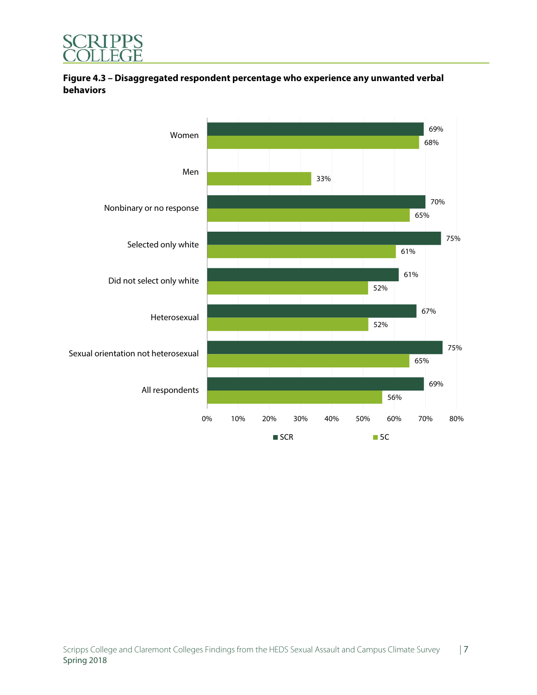



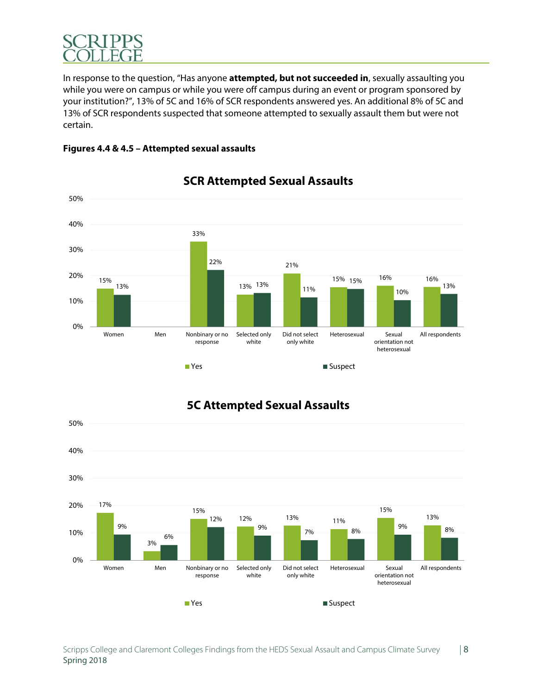

In response to the question, "Has anyone **attempted, but not succeeded in**, sexually assaulting you while you were on campus or while you were off campus during an event or program sponsored by your institution?", 13% of 5C and 16% of SCR respondents answered yes. An additional 8% of 5C and 13% of SCR respondents suspected that someone attempted to sexually assault them but were not certain.





# **SCR Attempted Sexual Assaults**



# **5C Attempted Sexual Assaults**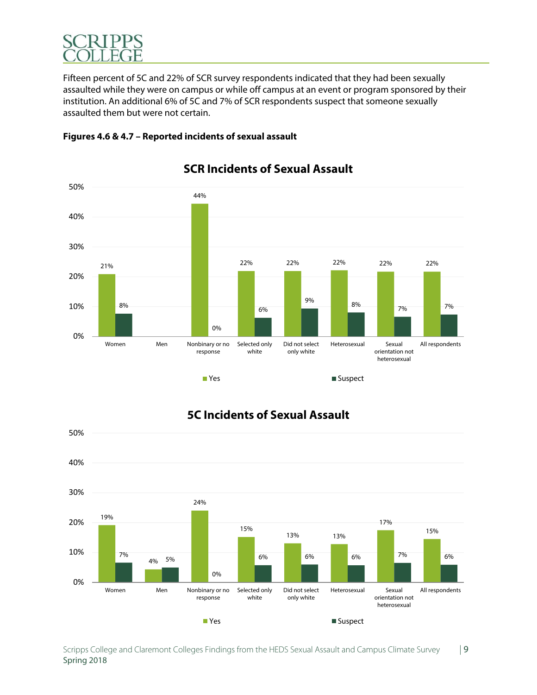

Fifteen percent of 5C and 22% of SCR survey respondents indicated that they had been sexually assaulted while they were on campus or while off campus at an event or program sponsored by their institution. An additional 6% of 5C and 7% of SCR respondents suspect that someone sexually assaulted them but were not certain.





# **SCR Incidents of Sexual Assault**



# **5C Incidents of Sexual Assault**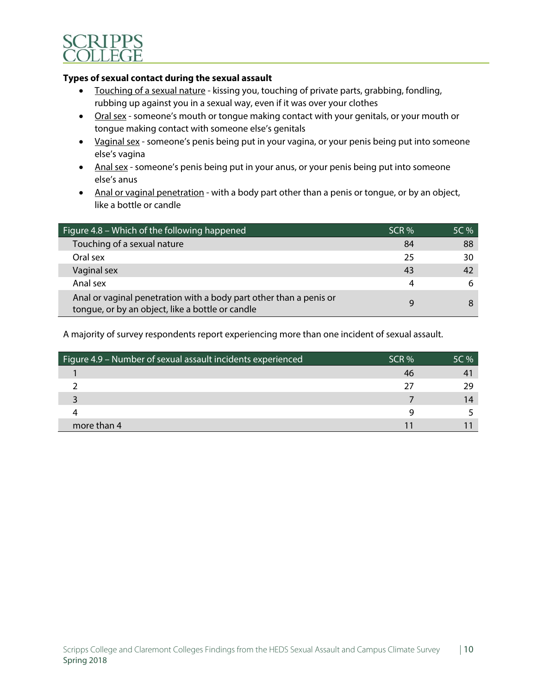

### **Types of sexual contact during the sexual assault**

- Touching of a sexual nature kissing you, touching of private parts, grabbing, fondling, rubbing up against you in a sexual way, even if it was over your clothes
- Oral sex someone's mouth or tongue making contact with your genitals, or your mouth or tongue making contact with someone else's genitals
- Vaginal sex someone's penis being put in your vagina, or your penis being put into someone else's vagina
- Anal sex someone's penis being put in your anus, or your penis being put into someone else's anus
- Anal or vaginal penetration with a body part other than a penis or tongue, or by an object, like a bottle or candle

| Figure 4.8 – Which of the following happened                                                                           | SCR % | 5C % |
|------------------------------------------------------------------------------------------------------------------------|-------|------|
| Touching of a sexual nature                                                                                            | 84    | 88   |
| Oral sex                                                                                                               | 25    | 30   |
| Vaginal sex                                                                                                            | 43    | 42   |
| Anal sex                                                                                                               | 4     |      |
| Anal or vaginal penetration with a body part other than a penis or<br>tongue, or by an object, like a bottle or candle | Q     |      |

A majority of survey respondents report experiencing more than one incident of sexual assault.

| Figure 4.9 - Number of sexual assault incidents experienced | SCR % | 5C % |
|-------------------------------------------------------------|-------|------|
|                                                             | 46    |      |
|                                                             | フフ    | າດ   |
|                                                             |       |      |
|                                                             | a     |      |
| more than 4                                                 |       |      |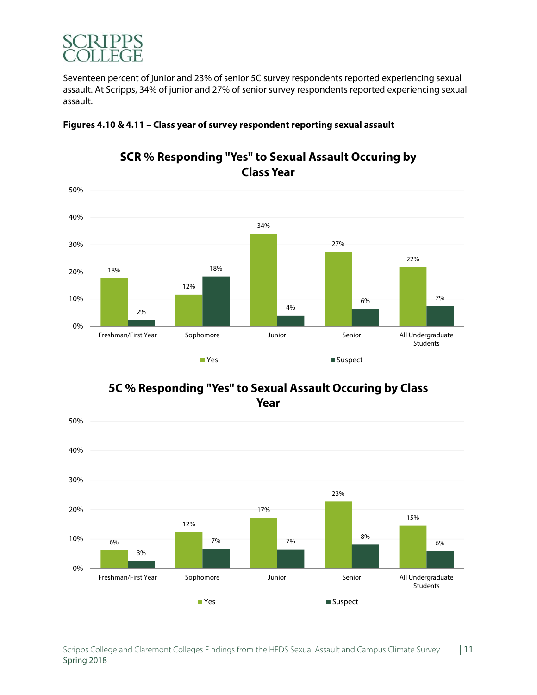

Seventeen percent of junior and 23% of senior 5C survey respondents reported experiencing sexual assault. At Scripps, 34% of junior and 27% of senior survey respondents reported experiencing sexual assault.



# **SCR % Responding "Yes" to Sexual Assault Occuring by**

**Figures 4.10 & 4.11 – Class year of survey respondent reporting sexual assault** 

**Class Year**



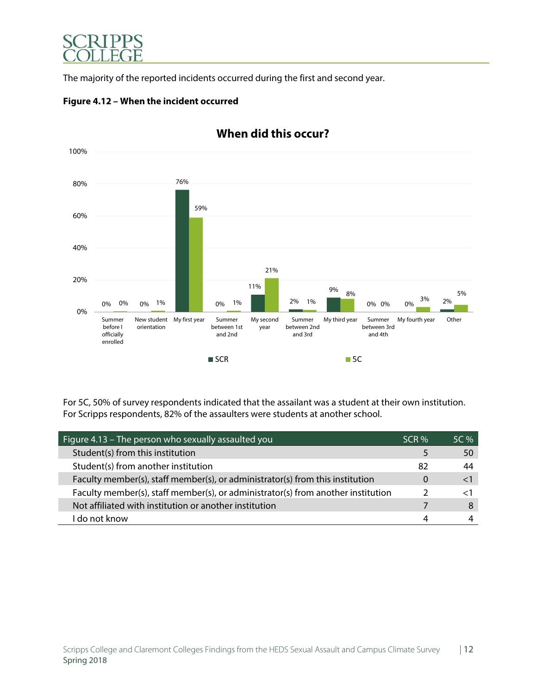

The majority of the reported incidents occurred during the first and second year.



**Figure 4.12 – When the incident occurred** 

For 5C, 50% of survey respondents indicated that the assailant was a student at their own institution. For Scripps respondents, 82% of the assaulters were students at another school.

| Figure 4.13 – The person who sexually assaulted you                              | SCR %    | 5C % |
|----------------------------------------------------------------------------------|----------|------|
| Student(s) from this institution                                                 |          | 50   |
| Student(s) from another institution                                              | 82       | 44   |
| Faculty member(s), staff member(s), or administrator(s) from this institution    | $\Omega$ |      |
| Faculty member(s), staff member(s), or administrator(s) from another institution |          |      |
| Not affiliated with institution or another institution                           |          |      |
| l do not know                                                                    |          |      |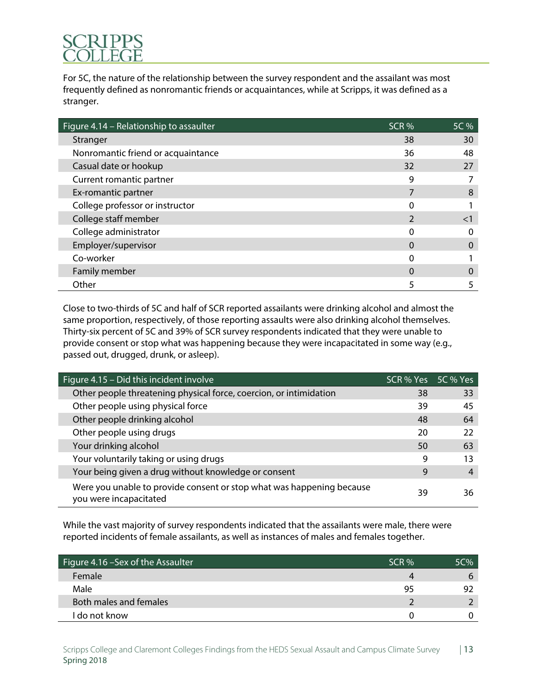For 5C, the nature of the relationship between the survey respondent and the assailant was most frequently defined as nonromantic friends or acquaintances, while at Scripps, it was defined as a stranger.

| Figure 4.14 - Relationship to assaulter | SCR <sub>%</sub> | 5C %     |
|-----------------------------------------|------------------|----------|
| Stranger                                | 38               | 30       |
| Nonromantic friend or acquaintance      | 36               | 48       |
| Casual date or hookup                   | 32               | 27       |
| Current romantic partner                | 9                |          |
| Ex-romantic partner                     |                  | 8        |
| College professor or instructor         |                  |          |
| College staff member                    |                  | $\leq$ 1 |
| College administrator                   | 0                |          |
| Employer/supervisor                     | $\Omega$         |          |
| Co-worker                               |                  |          |
| Family member                           | $\Omega$         |          |
| Other                                   |                  |          |

Close to two-thirds of 5C and half of SCR reported assailants were drinking alcohol and almost the same proportion, respectively, of those reporting assaults were also drinking alcohol themselves. Thirty-six percent of 5C and 39% of SCR survey respondents indicated that they were unable to provide consent or stop what was happening because they were incapacitated in some way (e.g., passed out, drugged, drunk, or asleep).

| Figure $4.15 - Did$ this incident involve                                                       | SCR % Yes 5C % Yes |    |
|-------------------------------------------------------------------------------------------------|--------------------|----|
| Other people threatening physical force, coercion, or intimidation                              | 38                 | 33 |
| Other people using physical force                                                               | 39                 | 45 |
| Other people drinking alcohol                                                                   | 48                 | 64 |
| Other people using drugs                                                                        | 20                 | 22 |
| Your drinking alcohol                                                                           | 50                 | 63 |
| Your voluntarily taking or using drugs                                                          | 9                  | 13 |
| Your being given a drug without knowledge or consent                                            | 9                  | 4  |
| Were you unable to provide consent or stop what was happening because<br>you were incapacitated | 39                 | 36 |

While the vast majority of survey respondents indicated that the assailants were male, there were reported incidents of female assailants, as well as instances of males and females together.

| Figure 4.16 - Sex of the Assaulter | SCR % | $5C\%$ |
|------------------------------------|-------|--------|
| Female                             |       | h      |
| Male                               | 95    | 97     |
| Both males and females             |       |        |
| I do not know                      |       |        |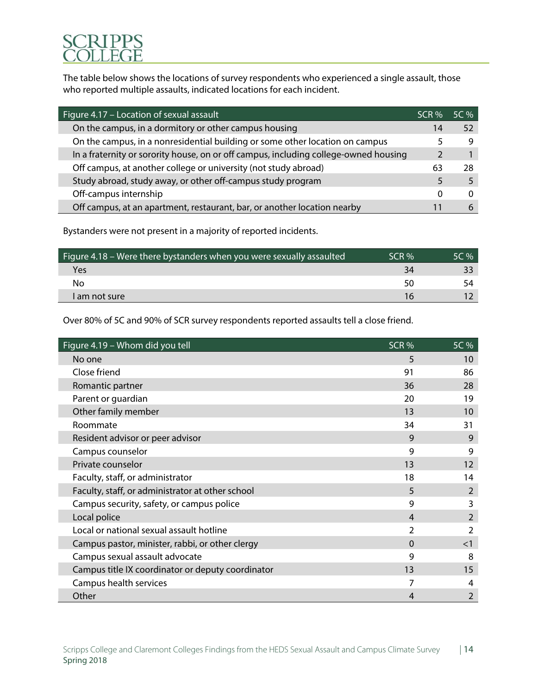The table below shows the locations of survey respondents who experienced a single assault, those who reported multiple assaults, indicated locations for each incident.

| Figure 4.17 - Location of sexual assault                                             | SCR % | $5C\%$ |
|--------------------------------------------------------------------------------------|-------|--------|
| On the campus, in a dormitory or other campus housing                                | 14    | 52     |
| On the campus, in a nonresidential building or some other location on campus         |       | 9      |
| In a fraternity or sorority house, on or off campus, including college-owned housing |       |        |
| Off campus, at another college or university (not study abroad)                      | 63    | 28     |
| Study abroad, study away, or other off-campus study program                          | 5     |        |
| Off-campus internship                                                                | 0     |        |
| Off campus, at an apartment, restaurant, bar, or another location nearby             |       |        |

Bystanders were not present in a majority of reported incidents.

| Figure 4.18 – Were there bystanders when you were sexually assaulted | SCR % | 5C % |
|----------------------------------------------------------------------|-------|------|
| Yes                                                                  | 34    |      |
| No                                                                   | 50    |      |
| am not sure                                                          |       |      |

Over 80% of 5C and 90% of SCR survey respondents reported assaults tell a close friend.

| Figure 4.19 - Whom did you tell                   | SCR <sub>%</sub> | 5C %           |
|---------------------------------------------------|------------------|----------------|
| No one                                            | 5                | 10             |
| Close friend                                      | 91               | 86             |
| Romantic partner                                  | 36               | 28             |
| Parent or guardian                                | 20               | 19             |
| Other family member                               | 13               | 10             |
| Roommate                                          | 34               | 31             |
| Resident advisor or peer advisor                  | 9                | 9              |
| Campus counselor                                  | 9                | 9              |
| Private counselor                                 | 13               | 12             |
| Faculty, staff, or administrator                  | 18               | 14             |
| Faculty, staff, or administrator at other school  | 5                | 2              |
| Campus security, safety, or campus police         | 9                | 3              |
| Local police                                      | 4                | $\overline{2}$ |
| Local or national sexual assault hotline          | 2                | 2              |
| Campus pastor, minister, rabbi, or other clergy   | $\Omega$         | $<$ 1          |
| Campus sexual assault advocate                    | 9                | 8              |
| Campus title IX coordinator or deputy coordinator | 13               | 15             |
| Campus health services                            |                  | 4              |
| Other                                             | 4                | 2              |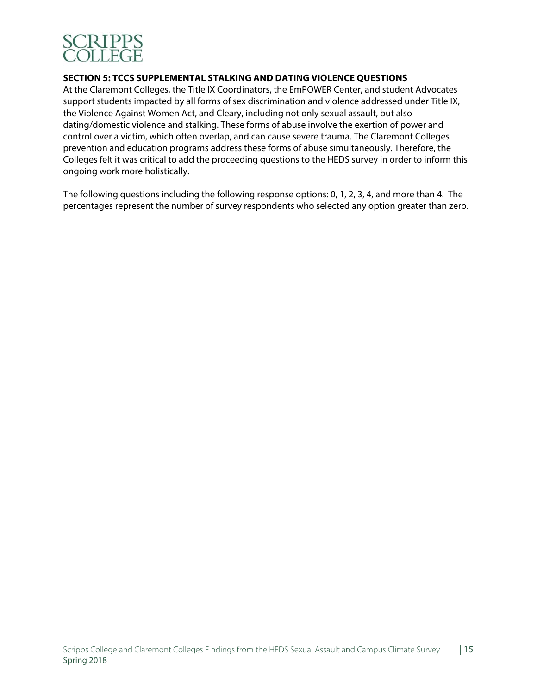

### **SECTION 5: TCCS SUPPLEMENTAL STALKING AND DATING VIOLENCE QUESTIONS**

At the Claremont Colleges, the Title IX Coordinators, the EmPOWER Center, and student Advocates support students impacted by all forms of sex discrimination and violence addressed under Title IX, the Violence Against Women Act, and Cleary, including not only sexual assault, but also dating/domestic violence and stalking. These forms of abuse involve the exertion of power and control over a victim, which often overlap, and can cause severe trauma. The Claremont Colleges prevention and education programs address these forms of abuse simultaneously. Therefore, the Colleges felt it was critical to add the proceeding questions to the HEDS survey in order to inform this ongoing work more holistically.

The following questions including the following response options: 0, 1, 2, 3, 4, and more than 4. The percentages represent the number of survey respondents who selected any option greater than zero.